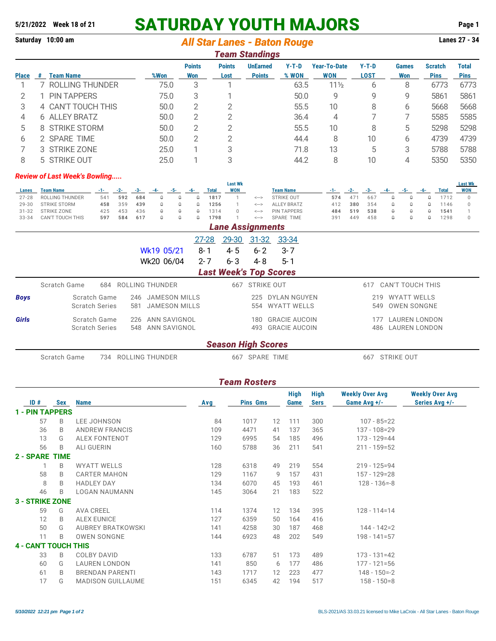# **5/21/2022 Week 18 of 21 SATURDAY YOUTH MAJORS Page 1**

### **Saturday 10:00 am** *All Star Lanes - Baton Rouge* **Lanes 27 - 34**

|              | <b>Team Standings</b> |                    |      |                      |                       |                                  |                  |                                   |                        |                     |                               |                                      |  |  |  |  |  |  |  |  |  |  |  |
|--------------|-----------------------|--------------------|------|----------------------|-----------------------|----------------------------------|------------------|-----------------------------------|------------------------|---------------------|-------------------------------|--------------------------------------|--|--|--|--|--|--|--|--|--|--|--|
| <b>Place</b> | #                     | <b>Team Name</b>   | %Won | <b>Points</b><br>Won | <b>Points</b><br>Lost | <b>UnEarned</b><br><b>Points</b> | $Y-T-D$<br>% WON | <b>Year-To-Date</b><br><b>WON</b> | $Y-T-D$<br><b>LOST</b> | <b>Games</b><br>Won | <b>Scratch</b><br><b>Pins</b> | <b>Total</b><br><b>Pins</b>          |  |  |  |  |  |  |  |  |  |  |  |
|              |                       | ROLLING THUNDER    | 75.0 | 3                    |                       |                                  | 63.5             | $11\frac{1}{2}$                   | 6                      | 8                   | 6773                          | 6773                                 |  |  |  |  |  |  |  |  |  |  |  |
|              |                       | <b>PIN TAPPERS</b> | 75.0 | 3                    |                       |                                  | 50.0             | 9                                 | 9                      | 9                   | 5861                          | 5861                                 |  |  |  |  |  |  |  |  |  |  |  |
| 3            |                       | 4 CAN'T TOUCH THIS | 50.0 | 2                    | 2                     |                                  | 55.5             | 10                                | 8                      | 6                   | 5668                          | 5668                                 |  |  |  |  |  |  |  |  |  |  |  |
| 4            |                       | 6 ALLEY BRATZ      | 50.0 | 2                    | 2                     |                                  | 36.4             | 4                                 |                        |                     | 5585                          | 5585                                 |  |  |  |  |  |  |  |  |  |  |  |
| 5            |                       | 8 STRIKE STORM     | 50.0 | 2                    | $\overline{2}$        |                                  | 55.5             | 10                                | 8                      | 5                   | 5298                          | 5298                                 |  |  |  |  |  |  |  |  |  |  |  |
| 6            |                       | 2 SPARE TIME       | 50.0 | $\overline{2}$       | $\overline{2}$        |                                  | 44.4             | 8                                 | 10                     | 6                   | 4739                          | 4739                                 |  |  |  |  |  |  |  |  |  |  |  |
|              |                       | 3 STRIKE ZONE      | 25.0 |                      | 3                     |                                  | 71.8             | 13                                | 5                      | 3                   | 5788                          | 5788                                 |  |  |  |  |  |  |  |  |  |  |  |
| 8            |                       | 5 STRIKE OUT       | 25.0 |                      | 3                     |                                  | 44.2             | 8                                 | 10                     | 4                   | 5350                          | 5350                                 |  |  |  |  |  |  |  |  |  |  |  |
|              |                       |                    |      |                      |                       |                                  |                  |                                   |                        |                     |                               | <b>Review of Last Week's Bowling</b> |  |  |  |  |  |  |  |  |  |  |  |

#### **Last Wk Last Wk** <u>Lanes Team-Name \_\_\_\_\_\_\_-1-\_\_\_-2-\_\_\_-3-\_\_\_-4-\_\_-5-\_\_\_-6-\_\_\_Total WON \_\_\_\_\_\_\_\_\_\_\_\_\_\_\_\_\_\_\_\_\_\_\_\_\_--1-\_\_\_\_-2-\_\_\_-3-\_\_-4-\_\_\_-5-\_\_\_-6-\_\_\_Total WON</u> **Lanes Team Name**<br>27-28 ROLLING THUNDER 541 592 684 0 0 0 1817 1 <--> STRIKE OUT 574 471 667 0 0 0 0 1712 0<br>29-30 STRIKE STORM 458 359 439 0 0 0 1256 1 <--> ALLEY BRATZ 412 380 354 0 0 0 1146 0 29-30 STRIKE STORM **458** 359 **439** 0 0 0 **1256** 1 <---> ALLEY BRATZ 412 **380** 354 0 0 0 1146 0 31-32 STRIKE ZONE 425 453 436 0 0 0 1314 0 <---> PIN TAPPERS **484 519 538** 0 0 0 **1541** 1 33-34 CAN'T TOUCH THIS *Lane Assignments*

|              | Lane Assignments              |                     |              |         |            |                      |     |                      |  |  |  |  |  |
|--------------|-------------------------------|---------------------|--------------|---------|------------|----------------------|-----|----------------------|--|--|--|--|--|
|              |                               |                     | <u>27-28</u> |         |            | 29-30 31-32 33-34    |     |                      |  |  |  |  |  |
|              |                               | Wk19 05/21          | 8-1          | 4-5     | $6 - 2$    | $3 - 7$              |     |                      |  |  |  |  |  |
|              |                               | Wk20 06/04          | $2 - 7$      | $6 - 3$ | 4-8        | $5 - 1$              |     |                      |  |  |  |  |  |
|              | <b>Last Week's Top Scores</b> |                     |              |         |            |                      |     |                      |  |  |  |  |  |
|              | Scratch Game<br>684           | ROLLING THUNDER     |              | 667     | STRIKE OUT |                      | 617 | CAN'T TOUCH THIS     |  |  |  |  |  |
| <b>Boys</b>  | Scratch Game                  | 246 JAMESON MILLS   |              |         | 225        | DYLAN NGUYEN         | 219 | WYATT WELLS          |  |  |  |  |  |
|              | <b>Scratch Series</b>         | 581 JAMESON MILLS   |              |         | 554        | WYATT WELLS          | 549 | OWEN SONGNE          |  |  |  |  |  |
| <b>Girls</b> | Scratch Game                  | ANN SAVIGNOL<br>226 |              |         | 180.       | <b>GRACIE AUCOIN</b> | 177 | <b>LAUREN LONDON</b> |  |  |  |  |  |
|              | <b>Scratch Series</b>         | 548 ANN SAVIGNOL    |              |         |            | 493 GRACIE AUCOIN    |     | 486 LAUREN LONDON    |  |  |  |  |  |
|              |                               |                     |              |         |            |                      |     |                      |  |  |  |  |  |

### *Season High Scores*

Scratch Game 734 ROLLING THUNDER 667 SPARE TIME 667 STRIKE OUT

|                             | <b>Team Rosters</b> |                          |            |                 |    |              |                            |                                        |                                          |  |  |  |
|-----------------------------|---------------------|--------------------------|------------|-----------------|----|--------------|----------------------------|----------------------------------------|------------------------------------------|--|--|--|
| ID#                         | <b>Sex</b>          | <b>Name</b>              | <b>Avg</b> | <b>Pins Gms</b> |    | High<br>Game | <b>High</b><br><b>Sers</b> | <b>Weekly Over Avg</b><br>Game Avg +/- | <b>Weekly Over Avg</b><br>Series Avg +/- |  |  |  |
| 1 - PIN TAPPERS             |                     |                          |            |                 |    |              |                            |                                        |                                          |  |  |  |
| 57                          | B                   | <b>LEE JOHNSON</b>       | 84         | 1017            | 12 | 111          | 300                        | $107 - 85 = 22$                        |                                          |  |  |  |
| 36                          | B                   | <b>ANDREW FRANCIS</b>    | 109        | 4471            | 41 | 137          | 365                        | $137 - 108 = 29$                       |                                          |  |  |  |
| 13                          | G                   | <b>ALEX FONTENOT</b>     | 129        | 6995            | 54 | 185          | 496                        | $173 - 129 = 44$                       |                                          |  |  |  |
| 56                          | B                   | <b>ALI GUERIN</b>        | 160        | 5788            | 36 | 211          | 541                        | $211 - 159 = 52$                       |                                          |  |  |  |
| 2 - SPARE                   | <b>TIME</b>         |                          |            |                 |    |              |                            |                                        |                                          |  |  |  |
|                             | B                   | <b>WYATT WELLS</b>       | 128        | 6318            | 49 | 219          | 554                        | $219 - 125 = 94$                       |                                          |  |  |  |
| 58                          | B                   | <b>CARTER MAHON</b>      | 129        | 1167            | 9  | 157          | 431                        | $157 - 129 = 28$                       |                                          |  |  |  |
| 8                           | B                   | <b>HADLEY DAY</b>        | 134        | 6070            | 45 | 193          | 461                        | $128 - 136 = -8$                       |                                          |  |  |  |
| 46                          | B                   | <b>LOGAN NAUMANN</b>     | 145        | 3064            | 21 | 183          | 522                        |                                        |                                          |  |  |  |
| <b>3 - STRIKE ZONE</b>      |                     |                          |            |                 |    |              |                            |                                        |                                          |  |  |  |
| 59                          | G                   | <b>AVA CREEL</b>         | 114        | 1374            | 12 | 134          | 395                        | $128 - 114 = 14$                       |                                          |  |  |  |
| 12                          | B                   | <b>ALEX EUNICE</b>       | 127        | 6359            | 50 | 164          | 416                        |                                        |                                          |  |  |  |
| 50                          | G                   | <b>AUBREY BRATKOWSKI</b> | 141        | 4258            | 30 | 187          | 468                        | $144 - 142 = 2$                        |                                          |  |  |  |
| 11                          | B                   | <b>OWEN SONGNE</b>       | 144        | 6923            | 48 | 202          | 549                        | $198 - 141 = 57$                       |                                          |  |  |  |
| <b>4 - CAN'T TOUCH THIS</b> |                     |                          |            |                 |    |              |                            |                                        |                                          |  |  |  |
| 33                          | B                   | <b>COLBY DAVID</b>       | 133        | 6787            | 51 | 173          | 489                        | $173 - 131 = 42$                       |                                          |  |  |  |
| 60                          | G                   | <b>LAUREN LONDON</b>     | 141        | 850             | 6  | 177          | 486                        | $177 - 121 = 56$                       |                                          |  |  |  |
| 61                          | B                   | <b>BRENDAN PARENTI</b>   | 143        | 1717            | 12 | 223          | 477                        | $148 - 150 = -2$                       |                                          |  |  |  |
| 17                          | G                   | <b>MADISON GUILLAUME</b> | 151        | 6345            | 42 | 194          | 517                        | $158 - 150 = 8$                        |                                          |  |  |  |